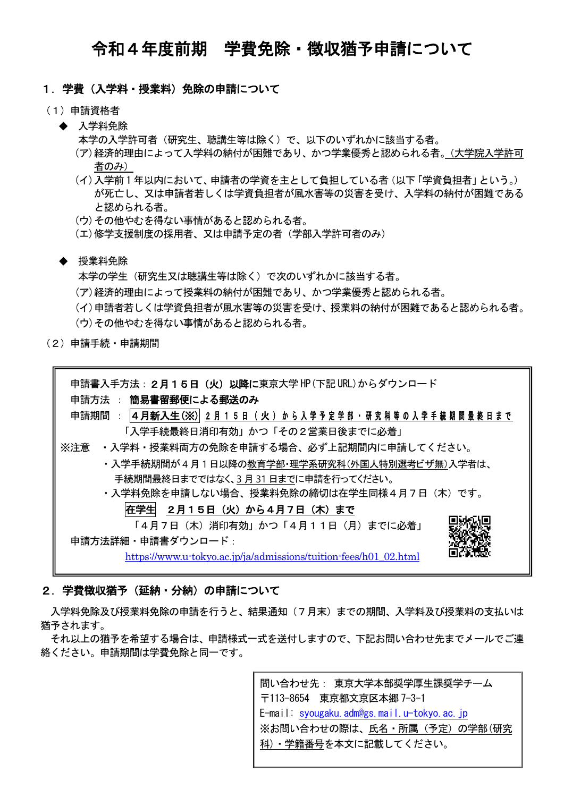# 令和4年度前期 学費免除・徴収猶予申請について

# 1.学費(入学料・授業料)免除の申請について

- (1)申請資格者
	- ◆ 入学料免除

本学の入学許可者(研究生、聴講生等は除く)で、以下のいずれかに該当する者。

- (ア)経済的理由によって入学料の納付が困難であり、かつ学業優秀と認められる者。(大学院入学許可 者のみ)
- (イ)入学前 1 年以内において、申請者の学資を主として負担している者(以下「学資負担者」という。) が死亡し、又は申請者若しくは学資負担者が風水害等の災害を受け、入学料の納付が困難である と認められる者。
- (ウ)その他やむを得ない事情があると認められる者。
- (エ)修学支援制度の採用者、又は申請予定の者(学部入学許可者のみ)

#### ◆ 授業料免除

本学の学生(研究生又は聴講生等は除く)で次のいずれかに該当する者。

(ア)経済的理由によって授業料の納付が困難であり、かつ学業優秀と認められる者。

- (イ)申請者若しくは学資負担者が風水害等の災害を受け、授業料の納付が困難であると認められる者。
- (ウ)その他やむを得ない事情があると認められる者。
- (2)申請手続・申請期間

| 申請書入手方法: 2月15日(火)以降に東京大学 HP (下記 URL)からダウンロード                     |
|------------------------------------------------------------------|
| 申請方法 : 簡易書留郵便による郵送のみ                                             |
| 申請期間 :  4月新入生(※)  2月15日(火)から入学予定学部・研究科等の入学手続期間最終日まで              |
| 「入学手続最終日消印有効」かつ「その2営業日後までに必着」                                    |
| ※注意 ・入学料・授業料両方の免除を申請する場合、必ず上記期間内に申請してください。                       |
| ・入学手続期間が4月1日以降の教育学部・理学系研究科(外国人特別選考ビザ無)入学者は、                      |
| 手続期間最終日までではなく、3月31日までに申請を行ってください。                                |
| ・入学料免除を申請しない場合、授業料免除の締切は在学生同様4月7日(木)です。                          |
| 在学生 2月15日 (火) から4月7日 (木) まで                                      |
| 「4月7日(木)消印有効」かつ「4月11日(月)までに必着」                                   |
| 申請方法詳細 · 申請書ダウンロード:                                              |
| https://www.u-tokyo.ac.jp/ja/admissions/tuition-fees/h01_02.html |
|                                                                  |

# 2.学費徴収猶予(延納・分納)の申請について

入学料免除及び授業料免除の申請を行うと、結果通知(7月末)までの期間、入学料及び授業料の支払いは 猶予されます。

それ以上の猶予を希望する場合は、申請様式一式を送付しますので、下記お問い合わせ先までメールでご連 絡ください。申請期間は学費免除と同一です。

> 問い合わせ先: 東京大学本部奨学厚生課奨学チーム 〒113-8654 東京都文京区本郷 7-3-1 E-mail: syougaku.adm@gs.mail.u-tokyo.ac.jp ※お問い合わせの際は、氏名・所属(予定)の学部(研究 科)・学籍番号を本文に記載してください。